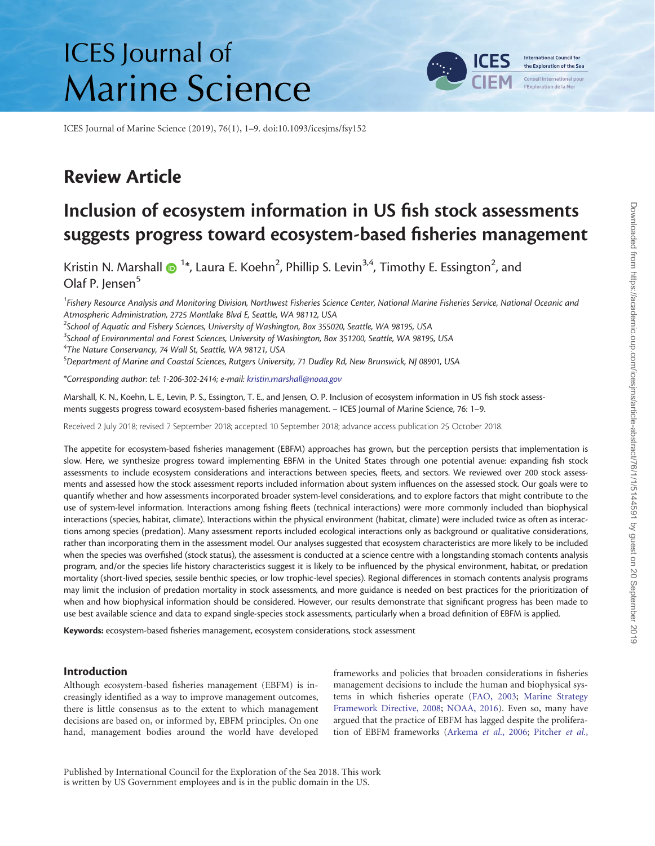# **ICES** Journal of **Marine Science**

ICES Journal of Marine Science (2019), 76(1), 1–9. doi:10.1093/icesjms/fsy152

# Review Article

# Inclusion of ecosystem information in US fish stock assessments suggests progress toward ecosystem-based fisheries management

Kristin N. Marshall  $\bullet$  <sup>1</sup>\*, Laura E. Koehn<sup>2</sup>, Phillip S. Levin<sup>3,4</sup>, Timothy E. Essington<sup>2</sup>, and Olaf P. Jensen<sup>5</sup>

<sup>1</sup>Fishery Resource Analysis and Monitoring Division, Northwest Fisheries Science Center, National Marine Fisheries Service, National Oceanic and Atmospheric Administration, 2725 Montlake Blvd E, Seattle, WA 98112, USA

 $^2$ School of Aquatic and Fishery Sciences, University of Washington, Box 355020, Seattle, WA 98195, USA

<sup>3</sup>School of Environmental and Forest Sciences, University of Washington, Box 351200, Seattle, WA 98195, USA

 ${}^{4}$ The Nature Conservancy, 74 Wall St, Seattle, WA 98121, USA

<sup>5</sup>Department of Marine and Coastal Sciences, Rutgers University, 71 Dudley Rd, New Brunswick, NJ 08901, USA

\*Corresponding author: tel: 1-206-302-2414; e-mail: [kristin.marshall@noaa.gov](mailto:kristin.marshall@noaa.gov)

Marshall, K. N., Koehn, L. E., Levin, P. S., Essington, T. E., and Jensen, O. P. Inclusion of ecosystem information in US fish stock assessments suggests progress toward ecosystem-based fisheries management. – ICES Journal of Marine Science, 76: 1–9.

Received 2 July 2018; revised 7 September 2018; accepted 10 September 2018; advance access publication 25 October 2018.

The appetite for ecosystem-based fisheries management (EBFM) approaches has grown, but the perception persists that implementation is slow. Here, we synthesize progress toward implementing EBFM in the United States through one potential avenue: expanding fish stock assessments to include ecosystem considerations and interactions between species, fleets, and sectors. We reviewed over 200 stock assessments and assessed how the stock assessment reports included information about system influences on the assessed stock. Our goals were to quantify whether and how assessments incorporated broader system-level considerations, and to explore factors that might contribute to the use of system-level information. Interactions among fishing fleets (technical interactions) were more commonly included than biophysical interactions (species, habitat, climate). Interactions within the physical environment (habitat, climate) were included twice as often as interactions among species (predation). Many assessment reports included ecological interactions only as background or qualitative considerations, rather than incorporating them in the assessment model. Our analyses suggested that ecosystem characteristics are more likely to be included when the species was overfished (stock status), the assessment is conducted at a science centre with a longstanding stomach contents analysis program, and/or the species life history characteristics suggest it is likely to be influenced by the physical environment, habitat, or predation mortality (short-lived species, sessile benthic species, or low trophic-level species). Regional differences in stomach contents analysis programs may limit the inclusion of predation mortality in stock assessments, and more guidance is needed on best practices for the prioritization of when and how biophysical information should be considered. However, our results demonstrate that significant progress has been made to use best available science and data to expand single-species stock assessments, particularly when a broad definition of EBFM is applied.

Keywords: ecosystem-based fisheries management, ecosystem considerations, stock assessment

# Introduction

Although ecosystem-based fisheries management (EBFM) is increasingly identified as a way to improve management outcomes, there is little consensus as to the extent to which management decisions are based on, or informed by, EBFM principles. On one hand, management bodies around the world have developed

frameworks and policies that broaden considerations in fisheries management decisions to include the human and biophysical systems in which fisheries operate ([FAO, 2003;](#page-7-0) [Marine Strategy](#page-7-0) [Framework Directive, 2008](#page-7-0); [NOAA, 2016\)](#page-8-0). Even so, many have argued that the practice of EBFM has lagged despite the proliferation of EBFM frameworks [\(Arkema](#page-7-0) et al., 2006; [Pitcher](#page-8-0) et al.,

Published by International Council for the Exploration of the Sea 2018. This work is written by US Government employees and is in the public domain in the US.

**International Council for** the Exploration of the Sea

ternational pou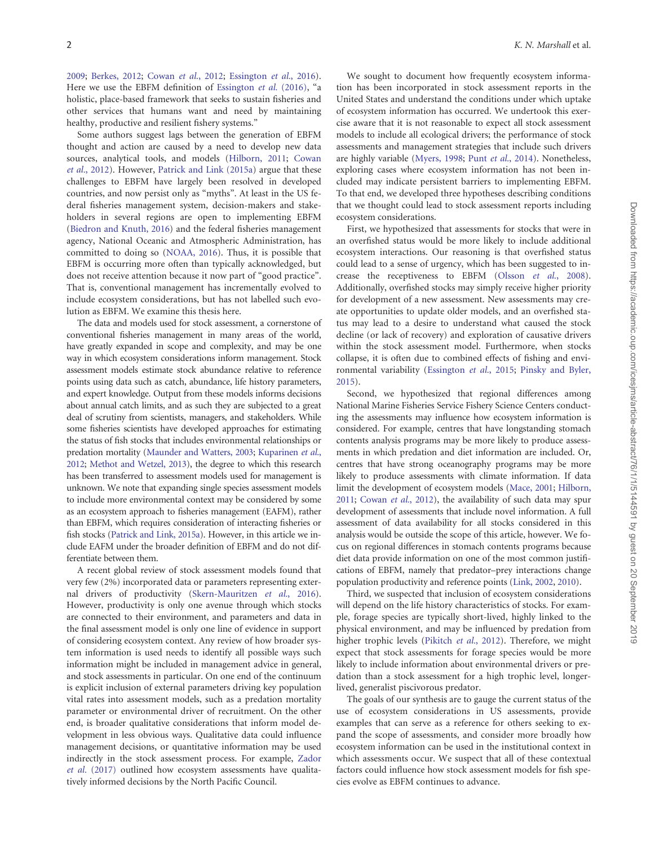[2009;](#page-8-0) [Berkes, 2012](#page-7-0); [Cowan](#page-7-0) et al., 2012; [Essington](#page-7-0) et al., 2016). Here we use the EBFM definition of [Essington](#page-7-0) et al. (2016), "a holistic, place-based framework that seeks to sustain fisheries and other services that humans want and need by maintaining healthy, productive and resilient fishery systems."

Some authors suggest lags between the generation of EBFM thought and action are caused by a need to develop new data sources, analytical tools, and models [\(Hilborn, 2011;](#page-7-0) [Cowan](#page-7-0) et al.[, 2012](#page-7-0)). However, [Patrick and Link \(2015a](#page-8-0)) argue that these challenges to EBFM have largely been resolved in developed countries, and now persist only as "myths". At least in the US federal fisheries management system, decision-makers and stakeholders in several regions are open to implementing EBFM ([Biedron and Knuth, 2016\)](#page-7-0) and the federal fisheries management agency, National Oceanic and Atmospheric Administration, has committed to doing so ([NOAA, 2016](#page-8-0)). Thus, it is possible that EBFM is occurring more often than typically acknowledged, but does not receive attention because it now part of "good practice". That is, conventional management has incrementally evolved to include ecosystem considerations, but has not labelled such evolution as EBFM. We examine this thesis here.

The data and models used for stock assessment, a cornerstone of conventional fisheries management in many areas of the world, have greatly expanded in scope and complexity, and may be one way in which ecosystem considerations inform management. Stock assessment models estimate stock abundance relative to reference points using data such as catch, abundance, life history parameters, and expert knowledge. Output from these models informs decisions about annual catch limits, and as such they are subjected to a great deal of scrutiny from scientists, managers, and stakeholders. While some fisheries scientists have developed approaches for estimating the status of fish stocks that includes environmental relationships or predation mortality [\(Maunder and Watters, 2003;](#page-7-0) [Kuparinen](#page-7-0) et al., [2012;](#page-7-0) [Methot and Wetzel, 2013](#page-8-0)), the degree to which this research has been transferred to assessment models used for management is unknown. We note that expanding single species assessment models to include more environmental context may be considered by some as an ecosystem approach to fisheries management (EAFM), rather than EBFM, which requires consideration of interacting fisheries or fish stocks [\(Patrick and Link, 2015a\)](#page-8-0). However, in this article we include EAFM under the broader definition of EBFM and do not differentiate between them.

A recent global review of stock assessment models found that very few (2%) incorporated data or parameters representing external drivers of productivity ([Skern-Mauritzen](#page-8-0) et al., 2016). However, productivity is only one avenue through which stocks are connected to their environment, and parameters and data in the final assessment model is only one line of evidence in support of considering ecosystem context. Any review of how broader system information is used needs to identify all possible ways such information might be included in management advice in general, and stock assessments in particular. On one end of the continuum is explicit inclusion of external parameters driving key population vital rates into assessment models, such as a predation mortality parameter or environmental driver of recruitment. On the other end, is broader qualitative considerations that inform model development in less obvious ways. Qualitative data could influence management decisions, or quantitative information may be used indirectly in the stock assessment process. For example, [Zador](#page-8-0) et al. [\(2017\)](#page-8-0) outlined how ecosystem assessments have qualitatively informed decisions by the North Pacific Council.

We sought to document how frequently ecosystem information has been incorporated in stock assessment reports in the United States and understand the conditions under which uptake of ecosystem information has occurred. We undertook this exercise aware that it is not reasonable to expect all stock assessment models to include all ecological drivers; the performance of stock assessments and management strategies that include such drivers are highly variable [\(Myers, 1998;](#page-8-0) Punt et al.[, 2014\)](#page-8-0). Nonetheless, exploring cases where ecosystem information has not been included may indicate persistent barriers to implementing EBFM. To that end, we developed three hypotheses describing conditions that we thought could lead to stock assessment reports including ecosystem considerations.

First, we hypothesized that assessments for stocks that were in an overfished status would be more likely to include additional ecosystem interactions. Our reasoning is that overfished status could lead to a sense of urgency, which has been suggested to increase the receptiveness to EBFM (Olsson et al.[, 2008](#page-8-0)). Additionally, overfished stocks may simply receive higher priority for development of a new assessment. New assessments may create opportunities to update older models, and an overfished status may lead to a desire to understand what caused the stock decline (or lack of recovery) and exploration of causative drivers within the stock assessment model. Furthermore, when stocks collapse, it is often due to combined effects of fishing and environmental variability ([Essington](#page-7-0) et al., 2015; [Pinsky and Byler,](#page-8-0) [2015\)](#page-8-0).

Second, we hypothesized that regional differences among National Marine Fisheries Service Fishery Science Centers conducting the assessments may influence how ecosystem information is considered. For example, centres that have longstanding stomach contents analysis programs may be more likely to produce assessments in which predation and diet information are included. Or, centres that have strong oceanography programs may be more likely to produce assessments with climate information. If data limit the development of ecosystem models ([Mace, 2001](#page-7-0); [Hilborn,](#page-7-0) [2011](#page-7-0); [Cowan](#page-7-0) et al., 2012), the availability of such data may spur development of assessments that include novel information. A full assessment of data availability for all stocks considered in this analysis would be outside the scope of this article, however. We focus on regional differences in stomach contents programs because diet data provide information on one of the most common justifications of EBFM, namely that predator–prey interactions change population productivity and reference points ([Link, 2002](#page-7-0), [2010\)](#page-7-0).

Third, we suspected that inclusion of ecosystem considerations will depend on the life history characteristics of stocks. For example, forage species are typically short-lived, highly linked to the physical environment, and may be influenced by predation from higher trophic levels [\(Pikitch](#page-8-0) et al., 2012). Therefore, we might expect that stock assessments for forage species would be more likely to include information about environmental drivers or predation than a stock assessment for a high trophic level, longerlived, generalist piscivorous predator.

The goals of our synthesis are to gauge the current status of the use of ecosystem considerations in US assessments, provide examples that can serve as a reference for others seeking to expand the scope of assessments, and consider more broadly how ecosystem information can be used in the institutional context in which assessments occur. We suspect that all of these contextual factors could influence how stock assessment models for fish species evolve as EBFM continues to advance.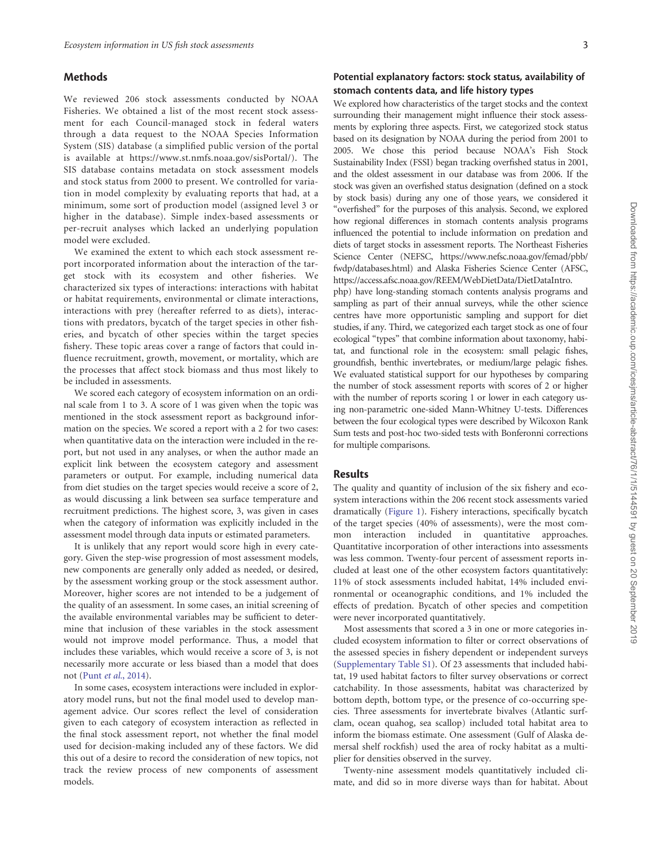## Methods

We reviewed 206 stock assessments conducted by NOAA Fisheries. We obtained a list of the most recent stock assessment for each Council-managed stock in federal waters through a data request to the NOAA Species Information System (SIS) database (a simplified public version of the portal is available at<https://www.st.nmfs.noaa.gov/sisPortal/>). The SIS database contains metadata on stock assessment models and stock status from 2000 to present. We controlled for variation in model complexity by evaluating reports that had, at a minimum, some sort of production model (assigned level 3 or higher in the database). Simple index-based assessments or per-recruit analyses which lacked an underlying population model were excluded.

We examined the extent to which each stock assessment report incorporated information about the interaction of the target stock with its ecosystem and other fisheries. We characterized six types of interactions: interactions with habitat or habitat requirements, environmental or climate interactions, interactions with prey (hereafter referred to as diets), interactions with predators, bycatch of the target species in other fisheries, and bycatch of other species within the target species fishery. These topic areas cover a range of factors that could influence recruitment, growth, movement, or mortality, which are the processes that affect stock biomass and thus most likely to be included in assessments.

We scored each category of ecosystem information on an ordinal scale from 1 to 3. A score of 1 was given when the topic was mentioned in the stock assessment report as background information on the species. We scored a report with a 2 for two cases: when quantitative data on the interaction were included in the report, but not used in any analyses, or when the author made an explicit link between the ecosystem category and assessment parameters or output. For example, including numerical data from diet studies on the target species would receive a score of 2, as would discussing a link between sea surface temperature and recruitment predictions. The highest score, 3, was given in cases when the category of information was explicitly included in the assessment model through data inputs or estimated parameters.

It is unlikely that any report would score high in every category. Given the step-wise progression of most assessment models, new components are generally only added as needed, or desired, by the assessment working group or the stock assessment author. Moreover, higher scores are not intended to be a judgement of the quality of an assessment. In some cases, an initial screening of the available environmental variables may be sufficient to determine that inclusion of these variables in the stock assessment would not improve model performance. Thus, a model that includes these variables, which would receive a score of 3, is not necessarily more accurate or less biased than a model that does not (Punt et al.[, 2014](#page-8-0)).

In some cases, ecosystem interactions were included in exploratory model runs, but not the final model used to develop management advice. Our scores reflect the level of consideration given to each category of ecosystem interaction as reflected in the final stock assessment report, not whether the final model used for decision-making included any of these factors. We did this out of a desire to record the consideration of new topics, not track the review process of new components of assessment models.

# Potential explanatory factors: stock status, availability of stomach contents data, and life history types

We explored how characteristics of the target stocks and the context surrounding their management might influence their stock assessments by exploring three aspects. First, we categorized stock status based on its designation by NOAA during the period from 2001 to 2005. We chose this period because NOAA's Fish Stock Sustainability Index (FSSI) began tracking overfished status in 2001, and the oldest assessment in our database was from 2006. If the stock was given an overfished status designation (defined on a stock by stock basis) during any one of those years, we considered it "overfished" for the purposes of this analysis. Second, we explored how regional differences in stomach contents analysis programs influenced the potential to include information on predation and diets of target stocks in assessment reports. The Northeast Fisheries Science Center (NEFSC, [https://www.nefsc.noaa.gov/femad/pbb/](https://www.nefsc.noaa.gov/femad/pbb/fwdp/databases.html) [fwdp/databases.html](https://www.nefsc.noaa.gov/femad/pbb/fwdp/databases.html)) and Alaska Fisheries Science Center (AFSC, [https://access.afsc.noaa.gov/REEM/WebDietData/DietDataIntro.](https://access.afsc.noaa.gov/REEM/WebDietData/DietDataIntro.php)

[php\)](https://access.afsc.noaa.gov/REEM/WebDietData/DietDataIntro.php) have long-standing stomach contents analysis programs and sampling as part of their annual surveys, while the other science centres have more opportunistic sampling and support for diet studies, if any. Third, we categorized each target stock as one of four ecological "types" that combine information about taxonomy, habitat, and functional role in the ecosystem: small pelagic fishes, groundfish, benthic invertebrates, or medium/large pelagic fishes. We evaluated statistical support for our hypotheses by comparing the number of stock assessment reports with scores of 2 or higher with the number of reports scoring 1 or lower in each category using non-parametric one-sided Mann-Whitney U-tests. Differences between the four ecological types were described by Wilcoxon Rank Sum tests and post-hoc two-sided tests with Bonferonni corrections for multiple comparisons.

#### Results

The quality and quantity of inclusion of the six fishery and ecosystem interactions within the 206 recent stock assessments varied dramatically [\(Figure 1\)](#page-3-0). Fishery interactions, specifically bycatch of the target species (40% of assessments), were the most common interaction included in quantitative approaches. Quantitative incorporation of other interactions into assessments was less common. Twenty-four percent of assessment reports included at least one of the other ecosystem factors quantitatively: 11% of stock assessments included habitat, 14% included environmental or oceanographic conditions, and 1% included the effects of predation. Bycatch of other species and competition were never incorporated quantitatively.

Most assessments that scored a 3 in one or more categories included ecosystem information to filter or correct observations of the assessed species in fishery dependent or independent surveys [\(Supplementary Table S1\)](https://academic.oup.com/icesjms/article-lookup/doi/10.1093/icesjms/fsy152#supplementary-data). Of 23 assessments that included habitat, 19 used habitat factors to filter survey observations or correct catchability. In those assessments, habitat was characterized by bottom depth, bottom type, or the presence of co-occurring species. Three assessments for invertebrate bivalves (Atlantic surfclam, ocean quahog, sea scallop) included total habitat area to inform the biomass estimate. One assessment (Gulf of Alaska demersal shelf rockfish) used the area of rocky habitat as a multiplier for densities observed in the survey.

Twenty-nine assessment models quantitatively included climate, and did so in more diverse ways than for habitat. About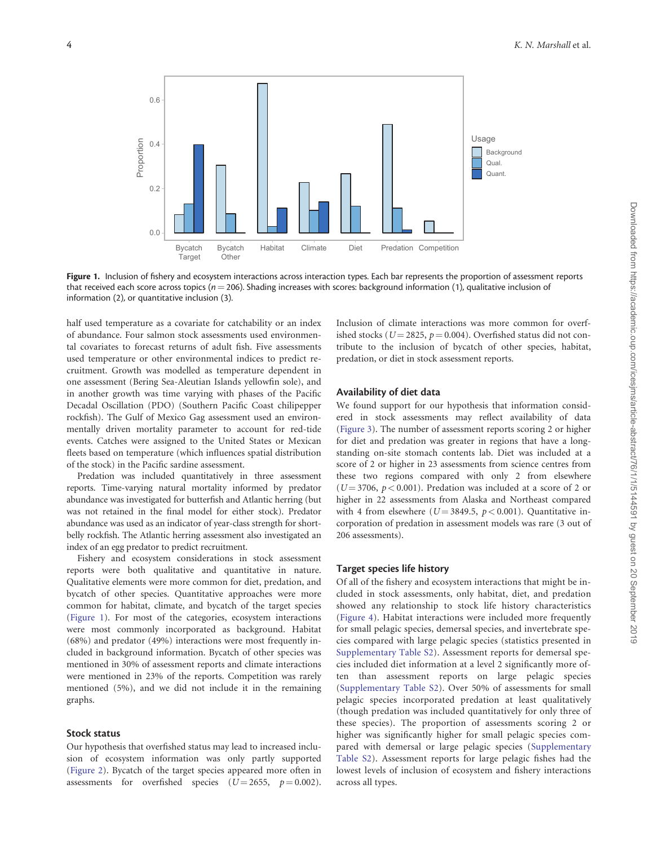<span id="page-3-0"></span>

Figure 1. Inclusion of fishery and ecosystem interactions across interaction types. Each bar represents the proportion of assessment reports that received each score across topics ( $n = 206$ ). Shading increases with scores: background information (1), qualitative inclusion of information (2), or quantitative inclusion (3).

half used temperature as a covariate for catchability or an index of abundance. Four salmon stock assessments used environmental covariates to forecast returns of adult fish. Five assessments used temperature or other environmental indices to predict recruitment. Growth was modelled as temperature dependent in one assessment (Bering Sea-Aleutian Islands yellowfin sole), and in another growth was time varying with phases of the Pacific Decadal Oscillation (PDO) (Southern Pacific Coast chilipepper rockfish). The Gulf of Mexico Gag assessment used an environmentally driven mortality parameter to account for red-tide events. Catches were assigned to the United States or Mexican fleets based on temperature (which influences spatial distribution of the stock) in the Pacific sardine assessment.

Predation was included quantitatively in three assessment reports. Time-varying natural mortality informed by predator abundance was investigated for butterfish and Atlantic herring (but was not retained in the final model for either stock). Predator abundance was used as an indicator of year-class strength for shortbelly rockfish. The Atlantic herring assessment also investigated an index of an egg predator to predict recruitment.

Fishery and ecosystem considerations in stock assessment reports were both qualitative and quantitative in nature. Qualitative elements were more common for diet, predation, and bycatch of other species. Quantitative approaches were more common for habitat, climate, and bycatch of the target species (Figure 1). For most of the categories, ecosystem interactions were most commonly incorporated as background. Habitat (68%) and predator (49%) interactions were most frequently included in background information. Bycatch of other species was mentioned in 30% of assessment reports and climate interactions were mentioned in 23% of the reports. Competition was rarely mentioned (5%), and we did not include it in the remaining graphs.

## Stock status

Our hypothesis that overfished status may lead to increased inclusion of ecosystem information was only partly supported ([Figure 2](#page-4-0)). Bycatch of the target species appeared more often in assessments for overfished species ( $U = 2655$ ,  $p = 0.002$ ). Inclusion of climate interactions was more common for overfished stocks ( $U = 2825$ ,  $p = 0.004$ ). Overfished status did not contribute to the inclusion of bycatch of other species, habitat, predation, or diet in stock assessment reports.

#### Availability of diet data

We found support for our hypothesis that information considered in stock assessments may reflect availability of data ([Figure 3\)](#page-4-0). The number of assessment reports scoring 2 or higher for diet and predation was greater in regions that have a longstanding on-site stomach contents lab. Diet was included at a score of 2 or higher in 23 assessments from science centres from these two regions compared with only 2 from elsewhere ( $U = 3706$ ,  $p < 0.001$ ). Predation was included at a score of 2 or higher in 22 assessments from Alaska and Northeast compared with 4 from elsewhere ( $U = 3849.5$ ,  $p < 0.001$ ). Quantitative incorporation of predation in assessment models was rare (3 out of 206 assessments).

#### Target species life history

Of all of the fishery and ecosystem interactions that might be included in stock assessments, only habitat, diet, and predation showed any relationship to stock life history characteristics ([Figure 4](#page-5-0)). Habitat interactions were included more frequently for small pelagic species, demersal species, and invertebrate species compared with large pelagic species (statistics presented in [Supplementary Table S2](https://academic.oup.com/icesjms/article-lookup/doi/10.1093/icesjms/fsy152#supplementary-data)). Assessment reports for demersal species included diet information at a level 2 significantly more often than assessment reports on large pelagic species ([Supplementary Table S2](https://academic.oup.com/icesjms/article-lookup/doi/10.1093/icesjms/fsy152#supplementary-data)). Over 50% of assessments for small pelagic species incorporated predation at least qualitatively (though predation was included quantitatively for only three of these species). The proportion of assessments scoring 2 or higher was significantly higher for small pelagic species compared with demersal or large pelagic species ([Supplementary](https://academic.oup.com/icesjms/article-lookup/doi/10.1093/icesjms/fsy152#supplementary-data) [Table S2\)](https://academic.oup.com/icesjms/article-lookup/doi/10.1093/icesjms/fsy152#supplementary-data). Assessment reports for large pelagic fishes had the lowest levels of inclusion of ecosystem and fishery interactions across all types.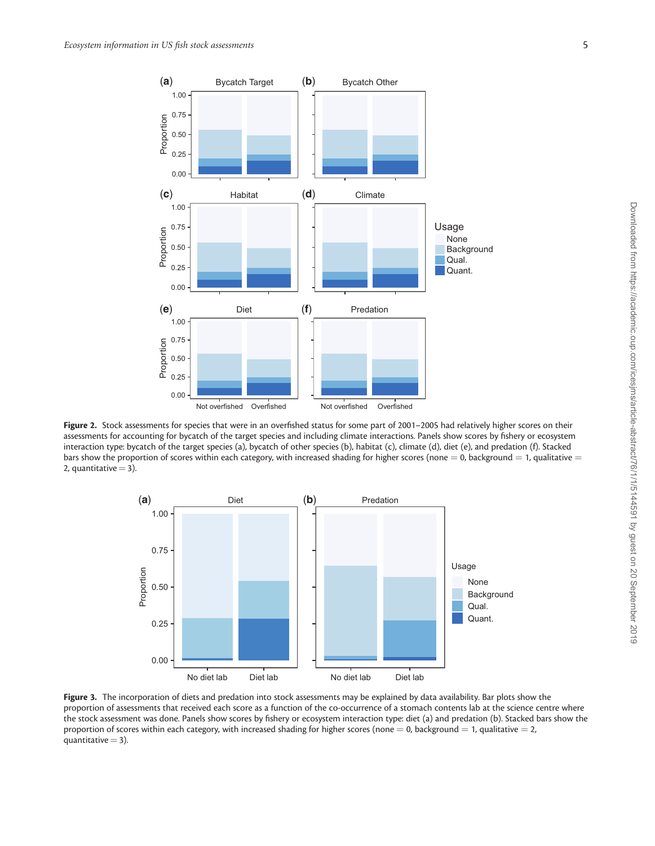<span id="page-4-0"></span>

Figure 2. Stock assessments for species that were in an overfished status for some part of 2001–2005 had relatively higher scores on their assessments for accounting for bycatch of the target species and including climate interactions. Panels show scores by fishery or ecosystem interaction type: bycatch of the target species (a), bycatch of other species (b), habitat (c), climate (d), diet (e), and predation (f). Stacked bars show the proportion of scores within each category, with increased shading for higher scores (none  $= 0$ , background  $= 1$ , qualitative  $=$ 2, quantitative  $=$  3).



Figure 3. The incorporation of diets and predation into stock assessments may be explained by data availability. Bar plots show the proportion of assessments that received each score as a function of the co-occurrence of a stomach contents lab at the science centre where the stock assessment was done. Panels show scores by fishery or ecosystem interaction type: diet (a) and predation (b). Stacked bars show the proportion of scores within each category, with increased shading for higher scores (none  $= 0$ , background  $= 1$ , qualitative  $= 2$ , quantitative  $=$  3).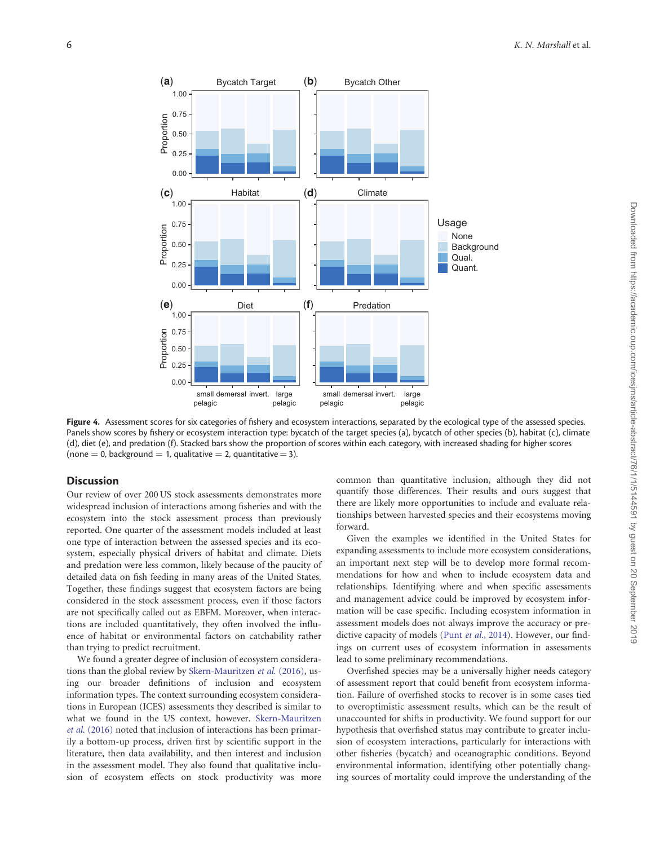<span id="page-5-0"></span>

Figure 4. Assessment scores for six categories of fishery and ecosystem interactions, separated by the ecological type of the assessed species. Panels show scores by fishery or ecosystem interaction type: bycatch of the target species (a), bycatch of other species (b), habitat (c), climate (d), diet (e), and predation (f). Stacked bars show the proportion of scores within each category, with increased shading for higher scores (none  $= 0$ , background  $= 1$ , qualitative  $= 2$ , quantitative  $= 3$ ).

#### **Discussion**

Our review of over 200 US stock assessments demonstrates more widespread inclusion of interactions among fisheries and with the ecosystem into the stock assessment process than previously reported. One quarter of the assessment models included at least one type of interaction between the assessed species and its ecosystem, especially physical drivers of habitat and climate. Diets and predation were less common, likely because of the paucity of detailed data on fish feeding in many areas of the United States. Together, these findings suggest that ecosystem factors are being considered in the stock assessment process, even if those factors are not specifically called out as EBFM. Moreover, when interactions are included quantitatively, they often involved the influence of habitat or environmental factors on catchability rather than trying to predict recruitment.

We found a greater degree of inclusion of ecosystem considerations than the global review by [Skern-Mauritzen](#page-8-0) et al. (2016), using our broader definitions of inclusion and ecosystem information types. The context surrounding ecosystem considerations in European (ICES) assessments they described is similar to what we found in the US context, however. [Skern-Mauritzen](#page-8-0) et al. [\(2016\)](#page-8-0) noted that inclusion of interactions has been primarily a bottom-up process, driven first by scientific support in the literature, then data availability, and then interest and inclusion in the assessment model. They also found that qualitative inclusion of ecosystem effects on stock productivity was more common than quantitative inclusion, although they did not quantify those differences. Their results and ours suggest that there are likely more opportunities to include and evaluate relationships between harvested species and their ecosystems moving forward.

Given the examples we identified in the United States for expanding assessments to include more ecosystem considerations, an important next step will be to develop more formal recommendations for how and when to include ecosystem data and relationships. Identifying where and when specific assessments and management advice could be improved by ecosystem information will be case specific. Including ecosystem information in assessment models does not always improve the accuracy or predictive capacity of models (Punt et al.[, 2014](#page-8-0)). However, our findings on current uses of ecosystem information in assessments lead to some preliminary recommendations.

Overfished species may be a universally higher needs category of assessment report that could benefit from ecosystem information. Failure of overfished stocks to recover is in some cases tied to overoptimistic assessment results, which can be the result of unaccounted for shifts in productivity. We found support for our hypothesis that overfished status may contribute to greater inclusion of ecosystem interactions, particularly for interactions with other fisheries (bycatch) and oceanographic conditions. Beyond environmental information, identifying other potentially changing sources of mortality could improve the understanding of the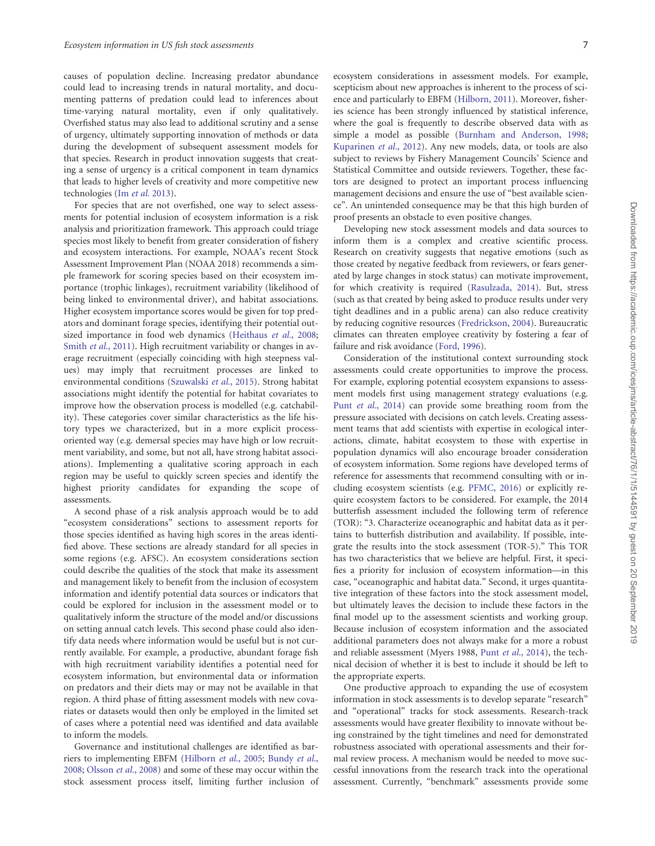causes of population decline. Increasing predator abundance could lead to increasing trends in natural mortality, and documenting patterns of predation could lead to inferences about time-varying natural mortality, even if only qualitatively. Overfished status may also lead to additional scrutiny and a sense of urgency, ultimately supporting innovation of methods or data during the development of subsequent assessment models for that species. Research in product innovation suggests that creating a sense of urgency is a critical component in team dynamics that leads to higher levels of creativity and more competitive new technologies (Im [et al.](#page-7-0) 2013).

For species that are not overfished, one way to select assessments for potential inclusion of ecosystem information is a risk analysis and prioritization framework. This approach could triage species most likely to benefit from greater consideration of fishery and ecosystem interactions. For example, NOAA's recent Stock Assessment Improvement Plan (NOAA 2018) recommends a simple framework for scoring species based on their ecosystem importance (trophic linkages), recruitment variability (likelihood of being linked to environmental driver), and habitat associations. Higher ecosystem importance scores would be given for top predators and dominant forage species, identifying their potential out-sized importance in food web dynamics [\(Heithaus](#page-7-0) et al., 2008; Smith et al.[, 2011\)](#page-8-0). High recruitment variability or changes in average recruitment (especially coinciding with high steepness values) may imply that recruitment processes are linked to environmental conditions ([Szuwalski](#page-8-0) et al., 2015). Strong habitat associations might identify the potential for habitat covariates to improve how the observation process is modelled (e.g. catchability). These categories cover similar characteristics as the life history types we characterized, but in a more explicit processoriented way (e.g. demersal species may have high or low recruitment variability, and some, but not all, have strong habitat associations). Implementing a qualitative scoring approach in each region may be useful to quickly screen species and identify the highest priority candidates for expanding the scope of assessments.

A second phase of a risk analysis approach would be to add "ecosystem considerations" sections to assessment reports for those species identified as having high scores in the areas identified above. These sections are already standard for all species in some regions (e.g. AFSC). An ecosystem considerations section could describe the qualities of the stock that make its assessment and management likely to benefit from the inclusion of ecosystem information and identify potential data sources or indicators that could be explored for inclusion in the assessment model or to qualitatively inform the structure of the model and/or discussions on setting annual catch levels. This second phase could also identify data needs where information would be useful but is not currently available. For example, a productive, abundant forage fish with high recruitment variability identifies a potential need for ecosystem information, but environmental data or information on predators and their diets may or may not be available in that region. A third phase of fitting assessment models with new covariates or datasets would then only be employed in the limited set of cases where a potential need was identified and data available to inform the models.

Governance and institutional challenges are identified as barriers to implementing EBFM ([Hilborn](#page-7-0) et al., 2005; [Bundy](#page-7-0) et al., [2008;](#page-7-0) [Olsson](#page-8-0) et al., 2008) and some of these may occur within the stock assessment process itself, limiting further inclusion of

ecosystem considerations in assessment models. For example, scepticism about new approaches is inherent to the process of science and particularly to EBFM [\(Hilborn, 2011\)](#page-7-0). Moreover, fisheries science has been strongly influenced by statistical inference, where the goal is frequently to describe observed data with as simple a model as possible ([Burnham and Anderson, 1998;](#page-7-0) [Kuparinen](#page-7-0) et al., 2012). Any new models, data, or tools are also subject to reviews by Fishery Management Councils' Science and Statistical Committee and outside reviewers. Together, these factors are designed to protect an important process influencing management decisions and ensure the use of "best available science". An unintended consequence may be that this high burden of proof presents an obstacle to even positive changes.

Developing new stock assessment models and data sources to inform them is a complex and creative scientific process. Research on creativity suggests that negative emotions (such as those created by negative feedback from reviewers, or fears generated by large changes in stock status) can motivate improvement, for which creativity is required ([Rasulzada, 2014\)](#page-8-0). But, stress (such as that created by being asked to produce results under very tight deadlines and in a public arena) can also reduce creativity by reducing cognitive resources ([Fredrickson, 2004](#page-7-0)). Bureaucratic climates can threaten employee creativity by fostering a fear of failure and risk avoidance [\(Ford, 1996](#page-7-0)).

Consideration of the institutional context surrounding stock assessments could create opportunities to improve the process. For example, exploring potential ecosystem expansions to assessment models first using management strategy evaluations (e.g. Punt et al.[, 2014\)](#page-8-0) can provide some breathing room from the pressure associated with decisions on catch levels. Creating assessment teams that add scientists with expertise in ecological interactions, climate, habitat ecosystem to those with expertise in population dynamics will also encourage broader consideration of ecosystem information. Some regions have developed terms of reference for assessments that recommend consulting with or including ecosystem scientists (e.g. [PFMC, 2016\)](#page-8-0) or explicitly require ecosystem factors to be considered. For example, the 2014 butterfish assessment included the following term of reference (TOR): "3. Characterize oceanographic and habitat data as it pertains to butterfish distribution and availability. If possible, integrate the results into the stock assessment (TOR-5)." This TOR has two characteristics that we believe are helpful. First, it specifies a priority for inclusion of ecosystem information—in this case, "oceanographic and habitat data." Second, it urges quantitative integration of these factors into the stock assessment model, but ultimately leaves the decision to include these factors in the final model up to the assessment scientists and working group. Because inclusion of ecosystem information and the associated additional parameters does not always make for a more a robust and reliable assessment (Myers 1988, Punt et al.[, 2014](#page-8-0)), the technical decision of whether it is best to include it should be left to the appropriate experts.

One productive approach to expanding the use of ecosystem information in stock assessments is to develop separate "research" and "operational" tracks for stock assessments. Research-track assessments would have greater flexibility to innovate without being constrained by the tight timelines and need for demonstrated robustness associated with operational assessments and their formal review process. A mechanism would be needed to move successful innovations from the research track into the operational assessment. Currently, "benchmark" assessments provide some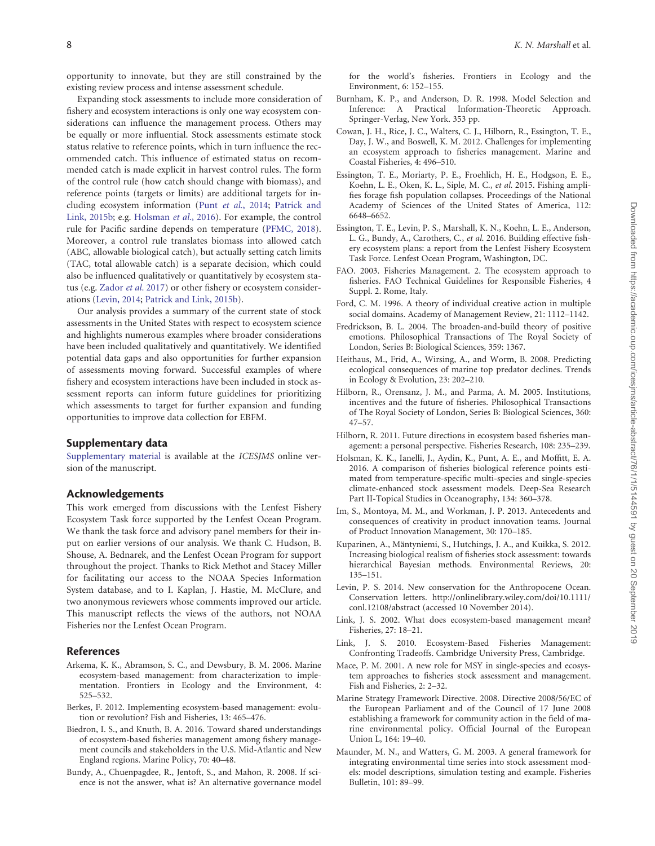<span id="page-7-0"></span>opportunity to innovate, but they are still constrained by the

existing review process and intense assessment schedule. Expanding stock assessments to include more consideration of fishery and ecosystem interactions is only one way ecosystem considerations can influence the management process. Others may be equally or more influential. Stock assessments estimate stock status relative to reference points, which in turn influence the recommended catch. This influence of estimated status on recommended catch is made explicit in harvest control rules. The form of the control rule (how catch should change with biomass), and reference points (targets or limits) are additional targets for including ecosystem information (Punt et al.[, 2014;](#page-8-0) [Patrick and](#page-8-0) [Link, 2015b;](#page-8-0) e.g. Holsman et al., 2016). For example, the control rule for Pacific sardine depends on temperature ([PFMC, 2018](#page-8-0)). Moreover, a control rule translates biomass into allowed catch (ABC, allowable biological catch), but actually setting catch limits (TAC, total allowable catch) is a separate decision, which could also be influenced qualitatively or quantitatively by ecosystem status (e.g. [Zador](#page-8-0) et al. 2017) or other fishery or ecosystem considerations (Levin, 2014; [Patrick and Link, 2015b](#page-8-0)).

Our analysis provides a summary of the current state of stock assessments in the United States with respect to ecosystem science and highlights numerous examples where broader considerations have been included qualitatively and quantitatively. We identified potential data gaps and also opportunities for further expansion of assessments moving forward. Successful examples of where fishery and ecosystem interactions have been included in stock assessment reports can inform future guidelines for prioritizing which assessments to target for further expansion and funding opportunities to improve data collection for EBFM.

### Supplementary data

[Supplementary material](https://academic.oup.com/icesjms/article-lookup/doi/10.1093/icesjms/fsy152#supplementary-data) is available at the ICESJMS online version of the manuscript.

#### Acknowledgements

This work emerged from discussions with the Lenfest Fishery Ecosystem Task force supported by the Lenfest Ocean Program. We thank the task force and advisory panel members for their input on earlier versions of our analysis. We thank C. Hudson, B. Shouse, A. Bednarek, and the Lenfest Ocean Program for support throughout the project. Thanks to Rick Methot and Stacey Miller for facilitating our access to the NOAA Species Information System database, and to I. Kaplan, J. Hastie, M. McClure, and two anonymous reviewers whose comments improved our article. This manuscript reflects the views of the authors, not NOAA Fisheries nor the Lenfest Ocean Program.

### References

- Arkema, K. K., Abramson, S. C., and Dewsbury, B. M. 2006. Marine ecosystem-based management: from characterization to implementation. Frontiers in Ecology and the Environment, 4: 525–532.
- Berkes, F. 2012. Implementing ecosystem-based management: evolution or revolution? Fish and Fisheries, 13: 465–476.
- Biedron, I. S., and Knuth, B. A. 2016. Toward shared understandings of ecosystem-based fisheries management among fishery management councils and stakeholders in the U.S. Mid-Atlantic and New England regions. Marine Policy, 70: 40–48.
- Bundy, A., Chuenpagdee, R., Jentoft, S., and Mahon, R. 2008. If science is not the answer, what is? An alternative governance model

for the world's fisheries. Frontiers in Ecology and the Environment, 6: 152–155.

- Burnham, K. P., and Anderson, D. R. 1998. Model Selection and Inference: A Practical Information-Theoretic Approach. Springer-Verlag, New York. 353 pp.
- Cowan, J. H., Rice, J. C., Walters, C. J., Hilborn, R., Essington, T. E., Day, J. W., and Boswell, K. M. 2012. Challenges for implementing an ecosystem approach to fisheries management. Marine and Coastal Fisheries, 4: 496–510.
- Essington, T. E., Moriarty, P. E., Froehlich, H. E., Hodgson, E. E., Koehn, L. E., Oken, K. L., Siple, M. C., et al. 2015. Fishing amplifies forage fish population collapses. Proceedings of the National Academy of Sciences of the United States of America, 112: 6648–6652.
- Essington, T. E., Levin, P. S., Marshall, K. N., Koehn, L. E., Anderson, L. G., Bundy, A., Carothers, C., et al. 2016. Building effective fishery ecosystem plans: a report from the Lenfest Fishery Ecosystem Task Force. Lenfest Ocean Program, Washington, DC.
- FAO. 2003. Fisheries Management. 2. The ecosystem approach to fisheries. FAO Technical Guidelines for Responsible Fisheries, 4 Suppl. 2. Rome, Italy.
- Ford, C. M. 1996. A theory of individual creative action in multiple social domains. Academy of Management Review, 21: 1112–1142.
- Fredrickson, B. L. 2004. The broaden-and-build theory of positive emotions. Philosophical Transactions of The Royal Society of London, Series B: Biological Sciences, 359: 1367.
- Heithaus, M., Frid, A., Wirsing, A., and Worm, B. 2008. Predicting ecological consequences of marine top predator declines. Trends in Ecology & Evolution, 23: 202–210.
- Hilborn, R., Orensanz, J. M., and Parma, A. M. 2005. Institutions, incentives and the future of fisheries. Philosophical Transactions of The Royal Society of London, Series B: Biological Sciences, 360: 47–57.
- Hilborn, R. 2011. Future directions in ecosystem based fisheries management: a personal perspective. Fisheries Research, 108: 235–239.
- Holsman, K. K., Ianelli, J., Aydin, K., Punt, A. E., and Moffitt, E. A. 2016. A comparison of fisheries biological reference points estimated from temperature-specific multi-species and single-species climate-enhanced stock assessment models. Deep-Sea Research Part II-Topical Studies in Oceanography, 134: 360–378.
- Im, S., Montoya, M. M., and Workman, J. P. 2013. Antecedents and consequences of creativity in product innovation teams. Journal of Product Innovation Management, 30: 170–185.
- Kuparinen, A., Mäntyniemi, S., Hutchings, J. A., and Kuikka, S. 2012. Increasing biological realism of fisheries stock assessment: towards hierarchical Bayesian methods. Environmental Reviews, 20: 135–151.
- Levin, P. S. 2014. New conservation for the Anthropocene Ocean. Conservation letters. [http://onlinelibrary.wiley.com/doi/10.1111/](http://onlinelibrary.wiley.com/doi/10.1111/conl.12108/abstract) [conl.12108/abstract](http://onlinelibrary.wiley.com/doi/10.1111/conl.12108/abstract) (accessed 10 November 2014).
- Link, J. S. 2002. What does ecosystem-based management mean? Fisheries, 27: 18–21.
- Link, J. S. 2010. Ecosystem-Based Fisheries Management: Confronting Tradeoffs. Cambridge University Press, Cambridge.
- Mace, P. M. 2001. A new role for MSY in single-species and ecosystem approaches to fisheries stock assessment and management. Fish and Fisheries, 2: 2–32.
- Marine Strategy Framework Directive. 2008. Directive 2008/56/EC of the European Parliament and of the Council of 17 June 2008 establishing a framework for community action in the field of marine environmental policy. Official Journal of the European Union L, 164: 19–40.
- Maunder, M. N., and Watters, G. M. 2003. A general framework for integrating environmental time series into stock assessment models: model descriptions, simulation testing and example. Fisheries Bulletin, 101: 89–99.